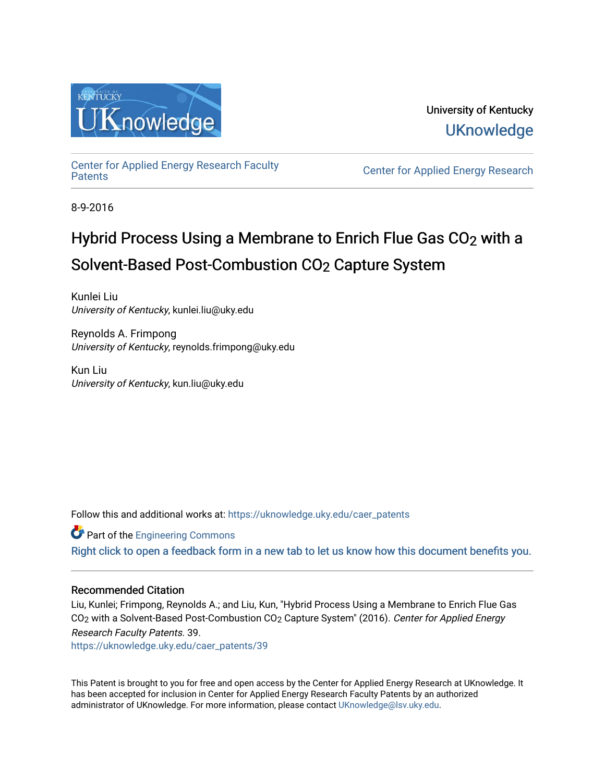

University of Kentucky **UKnowledge** 

[Center for Applied Energy Research Faculty](https://uknowledge.uky.edu/caer_patents)

Center for Applied Energy Research

8-9-2016

# Hybrid Process Using a Membrane to Enrich Flue Gas CO<sub>2</sub> with a Solvent-Based Post-Combustion CO2 Capture System

Kunlei Liu University of Kentucky, kunlei.liu@uky.edu

Reynolds A. Frimpong University of Kentucky, reynolds.frimpong@uky.edu

Kun Liu University of Kentucky, kun.liu@uky.edu

Follow this and additional works at: [https://uknowledge.uky.edu/caer\\_patents](https://uknowledge.uky.edu/caer_patents?utm_source=uknowledge.uky.edu%2Fcaer_patents%2F39&utm_medium=PDF&utm_campaign=PDFCoverPages) 

**Part of the [Engineering Commons](http://network.bepress.com/hgg/discipline/217?utm_source=uknowledge.uky.edu%2Fcaer_patents%2F39&utm_medium=PDF&utm_campaign=PDFCoverPages)** 

[Right click to open a feedback form in a new tab to let us know how this document benefits you.](https://uky.az1.qualtrics.com/jfe/form/SV_9mq8fx2GnONRfz7)

## Recommended Citation

Liu, Kunlei; Frimpong, Reynolds A.; and Liu, Kun, "Hybrid Process Using a Membrane to Enrich Flue Gas CO<sub>2</sub> with a Solvent-Based Post-Combustion CO<sub>2</sub> Capture System" (2016). Center for Applied Energy Research Faculty Patents. 39.

[https://uknowledge.uky.edu/caer\\_patents/39](https://uknowledge.uky.edu/caer_patents/39?utm_source=uknowledge.uky.edu%2Fcaer_patents%2F39&utm_medium=PDF&utm_campaign=PDFCoverPages)

This Patent is brought to you for free and open access by the Center for Applied Energy Research at UKnowledge. It has been accepted for inclusion in Center for Applied Energy Research Faculty Patents by an authorized administrator of UKnowledge. For more information, please contact [UKnowledge@lsv.uky.edu](mailto:UKnowledge@lsv.uky.edu).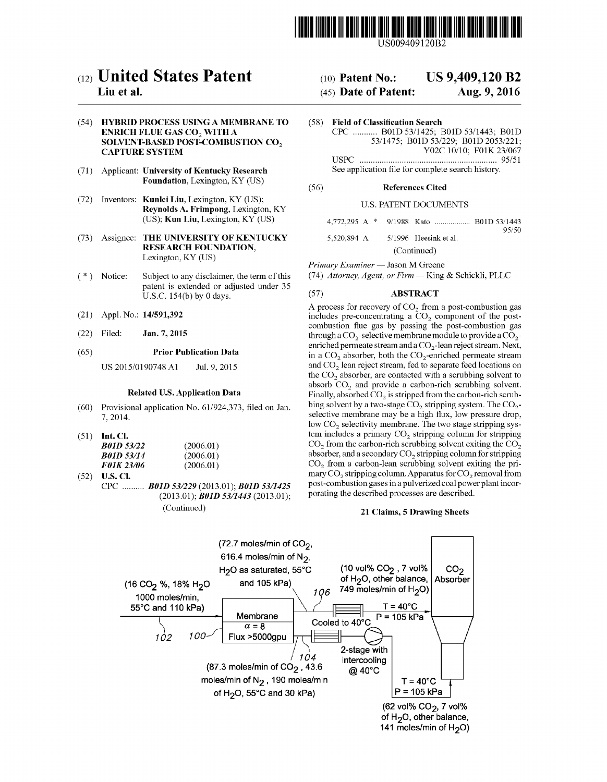

US009409120B2

# c12) **United States Patent**

## **Liu et al.**

#### (54) **HYBRID PROCESS USING A MEMBRANE TO ENRICH FLUE GAS CO<sub>2</sub> WITH A SOLVENT-BASED POST-COMBUSTION CO<sub>2</sub> CAPTURE SYSTEM**

- (71) Applicant: **University of Kentucky Research Foundation,** Lexington, KY (US)
- (72) Inventors: **Kunlei Liu,** Lexington, KY (US); **Reynolds A. Frimpong,** Lexington, KY (US); **Kun Liu,** Lexington, KY (US)
- (73) Assignee: **THE UNIVERSITY OF KENTUCKY RESEARCH FOUNDATION,**  Lexington, KY (US)
- ( \*) Notice: Subject to any disclaimer, the term of this patent is extended or adjusted under 35 U.S.C. 154(b) by 0 days.
- (21) Appl. No.: **14/591,392**
- (22) Filed: **Jan.7,2015**

#### (65) **Prior Publication Data**

US 2015/0190748Al Jul. 9, 2015

#### **Related U.S. Application Data**

- (60) Provisional application No. 61/924,373, filed on Jan. 7, 2014.
- (51) **Int. Cl.**

| <b>B01D 53/22</b> | (2006.01) |
|-------------------|-----------|
| <b>B01D 53/14</b> | (2006.01) |
| <b>F01K 23/06</b> | (2006.01) |

(52) **U.S. Cl.**  CPC .......... *BOlD 531229* (2013.01); *BOlD 5311425*  (2013.01); *BOlD 5311443* (2013.01); (Continued)

#### (10) **Patent No.: US 9,409,120 B2**

#### (45) **Date of Patent: Aug. 9, 2016**

(58) **Field of Classification Search**  CPC ........... BOlD 53/1425; BOlD 53/1443; BOlD 53/1475; BOlD 53/229; BOlD 2053/221; Y02C 10/10; FOlK 23/067 USPC .............................................................. 95/51 See application file for complete search history.

#### (56) **References Cited**

#### U.S. PATENT DOCUMENTS

| 5.520.894 A |  | 5/1996 Heesink et al. | 95/50 |
|-------------|--|-----------------------|-------|

(Continued)

*Primary Examiner* - Jason M Greene

(74) *Attorney, Agent, or Firm-* King & Schickli, PLLC

#### (57) **ABSTRACT**

A process for recovery of  $CO<sub>2</sub>$  from a post-combustion gas includes pre-concentrating a  $CO<sub>2</sub>$  component of the postcombustion flue gas by passing the post-combustion gas through a  $CO_2$ -selective membrane module to provide a  $CO_2$ enriched permeate stream and a CO<sub>2</sub>-lean reject stream. Next, in a  $CO<sub>2</sub>$  absorber, both the  $CO<sub>2</sub>$ -enriched permeate stream and CO<sub>2</sub> lean reject stream, fed to separate feed locations on the  $CO<sub>2</sub>$  absorber, are contacted with a scrubbing solvent to absorb  $CO<sub>2</sub>$  and provide a carbon-rich scrubbing solvent. Finally, absorbed  $CO<sub>2</sub>$  is stripped from the carbon-rich scrubbing solvent by a two-stage  $CO<sub>2</sub>$  stripping system. The  $CO<sub>2</sub>$ selective membrane may be a high flux, low pressure drop, low  $CO<sub>2</sub>$  selectivity membrane. The two stage stripping system includes a primary  $CO<sub>2</sub>$  stripping column for stripping  $CO<sub>2</sub>$  from the carbon-rich scrubbing solvent exiting the  $CO<sub>2</sub>$ absorber, and a secondary  $CO<sub>2</sub>$  stripping column for stripping  $CO<sub>2</sub>$  from a carbon-lean scrubbing solvent exiting the primary  $CO_2$  stripping column. Apparatus for  $CO_2$  removal from post-combustion gases in a pulverized coal power plant incorporating the described processes are described.

#### **21 Claims, 5 Drawing Sheets**

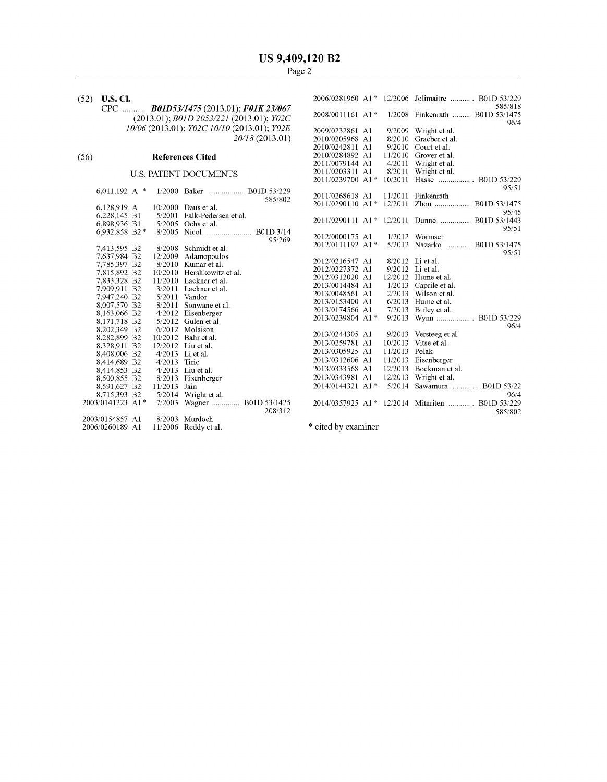#### (56) **References Cited**

#### U.S. PATENT DOCUMENTS

| 6.011.192 A $*$  |                | 1/2000 Baker  B01D 53/229   |         | 2011/0268618 A1                 |               | 11/2011 Finkenrath                        |
|------------------|----------------|-----------------------------|---------|---------------------------------|---------------|-------------------------------------------|
|                  |                |                             | 585/802 |                                 |               | 2011/0290110 A1 <sup>*</sup> 12/2011 Zhou |
| 6,128,919 A      |                | $10/2000$ Daus et al.       |         |                                 |               |                                           |
| 6,228,145 B1     |                | 5/2001 Falk-Pedersen et al. |         |                                 |               |                                           |
| 6,898,936 B1     |                | $5/2005$ Ochs et al.        |         |                                 |               | 2011/0290111 A1* 12/2011 Dunne            |
| 6,932,858 B2 $*$ |                | 8/2005 Nicol  B01D 3/14     |         |                                 |               |                                           |
|                  |                |                             | 95/269  | 2012/0000175 A1                 |               | $1/2012$ Wormser                          |
| 7,413,595 B2     |                | 8/2008 Schmidt et al.       |         | 2012/0111192 A1*                |               | 5/2012 Nazarko                            |
| 7,637,984 B2     |                | 12/2009 Adamopoulos         |         |                                 |               |                                           |
| 7,785,397 B2     |                | $8/2010$ Kumar et al.       |         | 2012/0216547 A1                 |               | 8/2012 Li et al.                          |
| 7,815,892 B2     |                | 10/2010 Hershkowitz et al.  |         | 2012/0227372 A1                 |               | $9/2012$ Liet al.                         |
| 7,833,328 B2     |                | $11/2010$ Lackner et al.    |         | 2012/0312020 A1                 |               | $12/2012$ Hume et al.                     |
| 7,909,911 B2     |                | 3/2011 Lackner et al.       |         | 2013/0014484 A1                 |               | $1/2013$ Caprile et al.                   |
| 7,947,240 B2     |                | $5/2011$ Vandor             |         | 2013/0048561 A1                 | 2/2013        | Wilson et al.                             |
| 8,007,570 B2     |                | 8/2011 Sonwane et al.       |         | 2013/0153400 A1                 |               | $6/2013$ Hume et al.                      |
| 8,163,066 B2     |                | 4/2012 Eisenberger          |         | 2013/0174566 A1                 |               | $7/2013$ Birley et al.                    |
| 8,171,718 B2     |                | $5/2012$ Gulen et al.       |         | 2013/0239804 A1*                |               | 9/2013 Wynn                               |
| 8,202,349 B2     |                | 6/2012 Molaison             |         |                                 |               |                                           |
| 8,282,899 B2     |                | 10/2012 Bahr et al.         |         | 2013/0244305 A1                 |               | 9/2013 Versteeg et al.                    |
| 8,328,911 B2     |                | $12/2012$ Liu et al.        |         | 2013/0259781 A1                 |               | $10/2013$ Vitse et al.                    |
| 8,408,006 B2     |                | $4/2013$ Liet al.           |         | 2013/0305925 A1                 | 11/2013 Polak |                                           |
| 8,414,689 B2     | $4/2013$ Tirio |                             |         | 2013/0312606 A1                 |               | 11/2013 Eisenberger                       |
| 8,414,853 B2     |                | 4/2013 Liu et al.           |         | 2013/0333568 A1                 | 12/2013       | Bockman et al.                            |
| 8,500,855 B2     |                | 8/2013 Eisenberger          |         | 2013/0343981 A1                 |               | $12/2013$ Wright et al.                   |
| 8,591,627 B2     | 11/2013 Jain   |                             |         | $2014/0144321$ A <sub>1</sub> * |               | 5/2014 Sawamura                           |
| 8,715,393 B2     |                | $5/2014$ Wright et al.      |         |                                 |               |                                           |
| 2003/0141223 A1* |                | 7/2003 Wagner  B01D 53/1425 |         |                                 |               | 2014/0357925 A1* 12/2014 Mitariten        |
|                  |                |                             | 208/312 |                                 |               |                                           |
| 2003/0154857 A1  |                | 8/2003 Murdoch              |         |                                 |               |                                           |
| 2006/0260189 A1  |                | 11/2006 Reddy et al.        |         | * cited by examiner             |               |                                           |
|                  |                |                             |         |                                 |               |                                           |

| (52) | U.S. CI.           |              |                                                                                                    |         |                  |               | 2006/0281960 A1* 12/2006 Jolimaitre  B01D 53/229<br>585/818 |
|------|--------------------|--------------|----------------------------------------------------------------------------------------------------|---------|------------------|---------------|-------------------------------------------------------------|
|      |                    |              | CPC <b>B01D53/1475</b> (2013.01); <b>F01K 23/067</b><br>$(2013.01); B01D 2053/221 (2013.01); Y02C$ |         | 2008/0011161 A1* |               | 1/2008 Finkenrath  B01D 53/1475                             |
|      |                    |              | 10/06 (2013.01); Y02C 10/10 (2013.01); Y02E                                                        |         | 2009/0232861 A1  |               | 96/4<br>9/2009 Wright et al.                                |
|      |                    |              | 20/18 (2013.01)                                                                                    |         | 2010/0205968 A1  |               | 8/2010 Graeber et al.                                       |
|      |                    |              |                                                                                                    |         | 2010/0242811 A1  |               | 9/2010 Court et al.                                         |
| (56) |                    |              | <b>References Cited</b>                                                                            |         | 2010/0284892 A1  |               | $11/2010$ Grover et al.                                     |
|      |                    |              |                                                                                                    |         | 2011/0079144 A1  |               | 4/2011 Wright et al.                                        |
|      |                    |              | <b>U.S. PATENT DOCUMENTS</b>                                                                       |         | 2011/0203311 A1  |               | 8/2011 Wright et al.                                        |
|      |                    |              |                                                                                                    |         | 2011/0239700 A1* |               | 10/2011 Hasse  B01D 53/229                                  |
|      | 6,011,192 A $*$    |              | 1/2000 Baker  B01D 53/229                                                                          |         |                  |               | 95/51                                                       |
|      |                    |              |                                                                                                    | 585/802 | 2011/0268618 A1  |               | 11/2011 Finkenrath                                          |
|      | 6.128.919 A        |              | 10/2000 Daus et al.                                                                                |         |                  |               | 2011/0290110 A1* 12/2011 Zhou  B01D 53/1475                 |
|      | 6,228,145 B1       |              | 5/2001 Falk-Pedersen et al.                                                                        |         |                  |               | 95/45                                                       |
|      | 6,898,936 B1       |              | 5/2005 Ochs et al.                                                                                 |         |                  |               | 2011/0290111 A1* 12/2011 Dunne  B01D 53/1443                |
|      | 6,932,858 B2*      |              |                                                                                                    |         |                  |               | 95/51                                                       |
|      |                    |              |                                                                                                    | 95/269  | 2012/0000175 A1  |               | $1/2012$ Wormser                                            |
|      | 7.413.595 B2       |              | 8/2008 Schmidt et al.                                                                              |         | 2012/0111192 A1* |               | 5/2012 Nazarko  B01D 53/1475                                |
|      | 7,637,984 B2       |              | 12/2009 Adamopoulos                                                                                |         |                  |               | 95/51                                                       |
|      | 7,785,397 B2       |              | $8/2010$ Kumar et al.                                                                              |         | 2012/0216547 A1  |               | 8/2012 Li et al.                                            |
|      | 7,815,892 B2       |              | 10/2010 Hershkowitz et al.                                                                         |         | 2012/0227372 A1  |               | 9/2012 Li et al.                                            |
|      | 7,833,328 B2       |              | 11/2010 Lackner et al.                                                                             |         | 2012/0312020 A1  |               | $12/2012$ Hume et al.                                       |
|      | 7,909,911 B2       |              | 3/2011 Lackner et al.                                                                              |         | 2013/0014484 A1  |               | $1/2013$ Caprile et al.                                     |
|      | 7,947,240 B2       |              | $5/2011$ Vandor                                                                                    |         | 2013/0048561 A1  |               | 2/2013 Wilson et al.                                        |
|      | 8,007,570 B2       |              | 8/2011 Sonwane et al.                                                                              |         | 2013/0153400 A1  |               | $6/2013$ Hume et al.                                        |
|      | 8,163,066 B2       |              | $4/2012$ Eisenberger                                                                               |         | 2013/0174566 A1  |               | $7/2013$ Birley et al.                                      |
|      | 8,171,718 B2       |              | $5/2012$ Gulen et al.                                                                              |         | 2013/0239804 A1* |               | 9/2013 Wynn  B01D 53/229                                    |
|      | 8,202,349 B2       |              | 6/2012 Molaison                                                                                    |         |                  |               | 96/4                                                        |
|      | 8,282,899 B2       |              | 10/2012 Bahr et al.                                                                                |         | 2013/0244305 A1  |               | 9/2013 Versteeg et al.                                      |
|      | 8,328,911 B2       |              | 12/2012 Liu et al.                                                                                 |         | 2013/0259781 A1  |               | 10/2013 Vitse et al.                                        |
|      | 8,408,006 B2       |              | 4/2013 Li et al.                                                                                   |         | 2013/0305925 A1  | 11/2013 Polak |                                                             |
|      | 8,414,689 B2       | 4/2013 Tirio |                                                                                                    |         | 2013/0312606 A1  |               | 11/2013 Eisenberger                                         |
|      | 8,414,853 B2       |              | $4/2013$ Liu et al.                                                                                |         | 2013/0333568 A1  |               | 12/2013 Bockman et al.                                      |
|      | 8,500,855 B2       |              | 8/2013 Eisenberger                                                                                 |         | 2013/0343981 A1  | 12/2013       | Wright et al.                                               |
|      | 8,591,627 B2       | 11/2013 Jain |                                                                                                    |         | 2014/0144321 A1* |               | 5/2014 Sawamura  B01D 53/22                                 |
|      | 8,715,393 B2       |              | $5/2014$ Wright et al.                                                                             |         |                  |               | 96/4                                                        |
|      | 2003/0141223 A1*   |              | 7/2003 Wagner  B01D 53/1425                                                                        | 208/312 |                  |               | 2014/0357925 A1* 12/2014 Mitariten  B01D 53/229<br>585/802  |
|      | 2003/0154857 - A 1 |              | $8/2003$ Murdoch                                                                                   |         |                  |               |                                                             |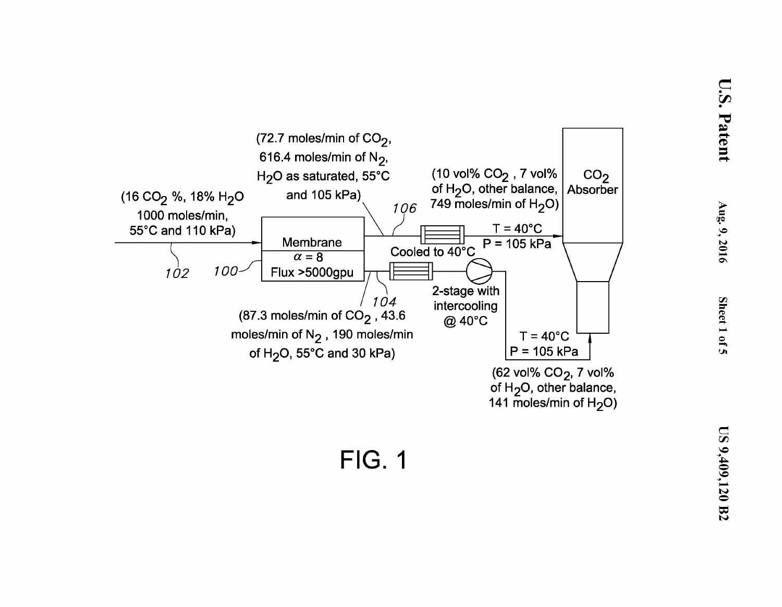

 $, 2016$ 

 $\boldsymbol{\varphi}$  $rel$   $I$ 

<u>្ញ</u>

 $\mathbf{S}$ 

 $\overline{\nabla}$ 

atent

**FIG. 1**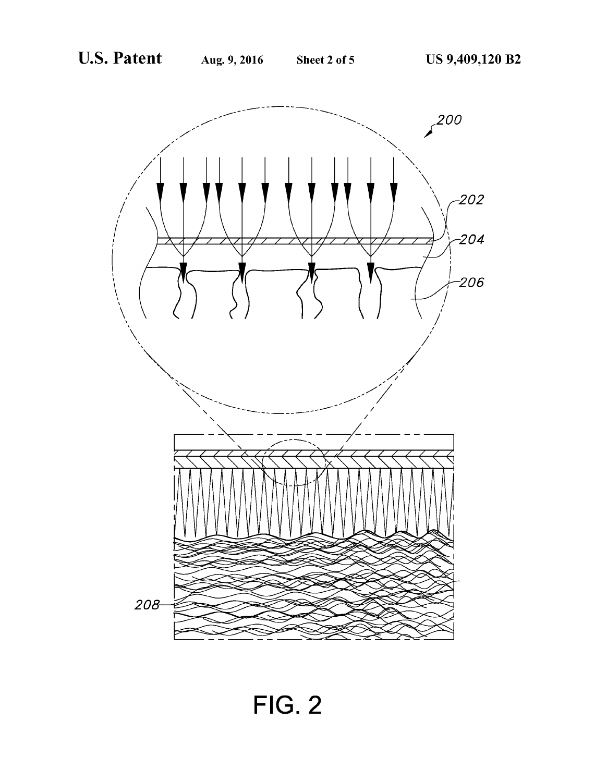

**FIG. 2**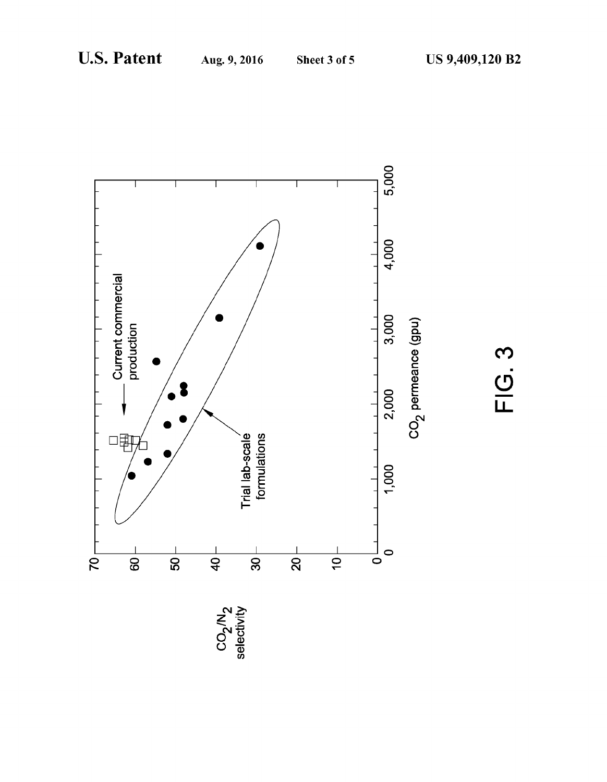

**FIG. 3**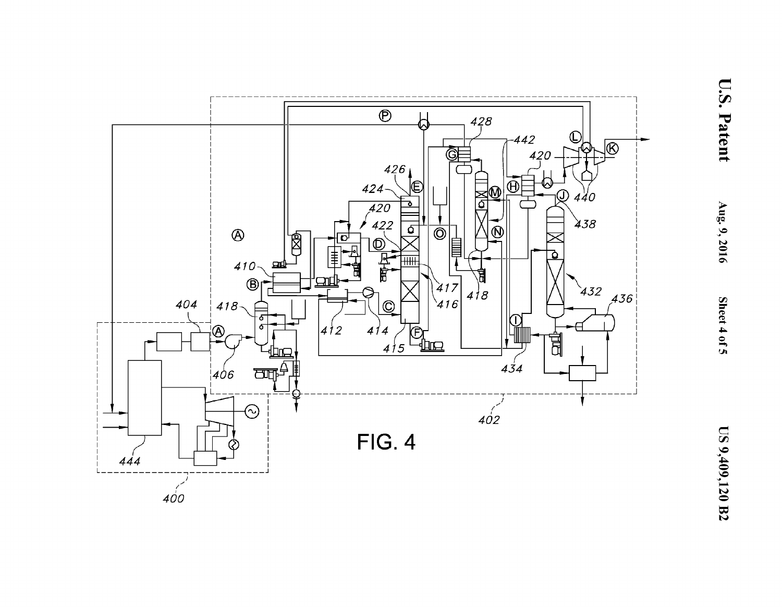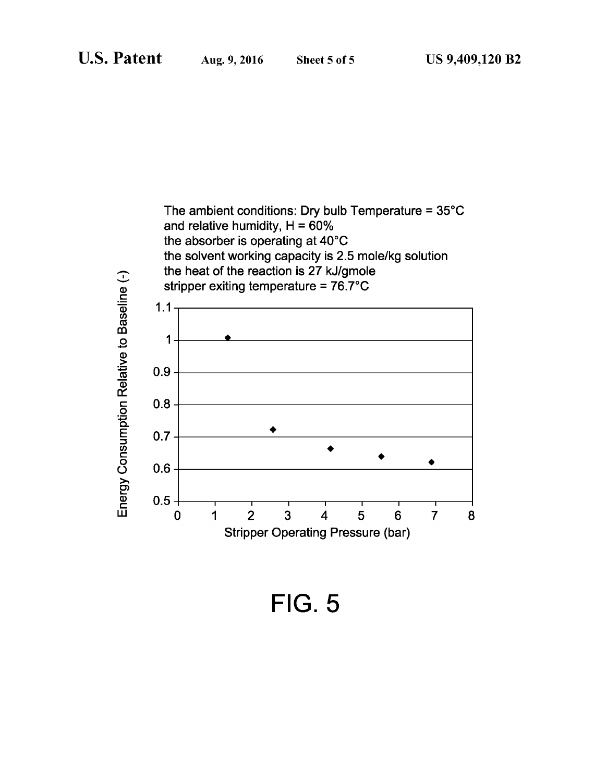

**FIG. 5**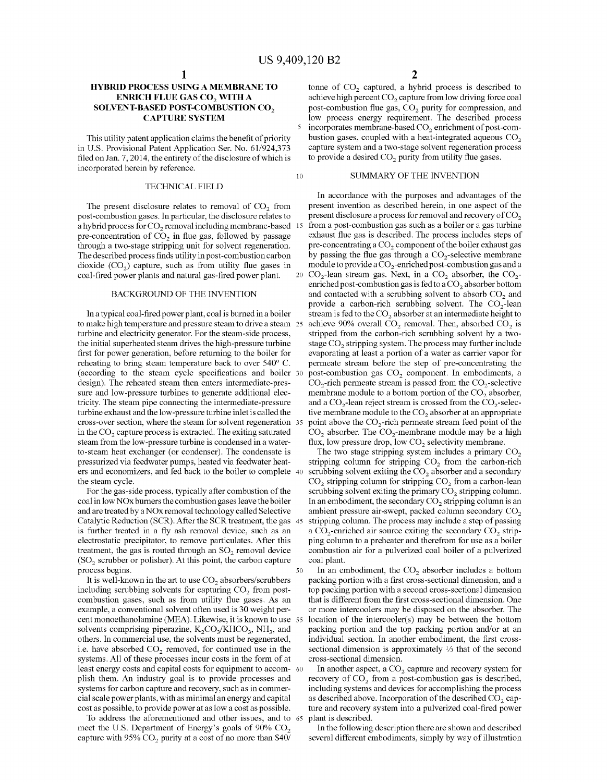50

#### **HYBRID PROCESS USING A MEMBRANE TO ENRICH FLUE GAS CO<sub>2</sub> WITH A SOLVENT-BASED POST-COMBUSTION CO<sub>2</sub> CAPTURE SYSTEM**

This utility patent application claims the benefit of priority in U.S. Provisional Patent Application Ser. No. 61/924,373 filed on Jan. 7, 2014, the entirety of the disclosure of which is incorporated herein by reference.

#### TECHNICAL FIELD

The present disclosure relates to removal of  $CO<sub>2</sub>$  from post-combustion gases. In particular, the disclosure relates to a hybrid process for CO<sub>2</sub> removal including membrane-based pre-concentration of  $CO<sub>2</sub>$  in flue gas, followed by passage through a two-stage stripping unit for solvent regeneration. The described process finds utility in post-combustion carbon dioxide  $(CO<sub>2</sub>)$  capture, such as from utility flue gases in coal-fired power plants and natural gas-fired power plant.

#### BACKGROUND OF THE INVENTION

In a typical coal-fired power plant, coal is burned in a boiler to make high temperature and pressure steam to drive a steam 25 turbine and electricity generator. For the steam-side process, the initial superheated steam drives the high-pressure turbine first for power generation, before returning to the boiler for reheating to bring steam temperature back to over 540° C. (according to the steam cycle specifications and boiler design). The reheated steam then enters intermediate-pressure and low-pressure turbines to generate additional electricity. The steam pipe connecting the intermediate-pressure turbine exhaust and the low-pressure turbine inlet is called the cross-over section, where the steam for solvent regeneration in the CO<sub>2</sub> capture process is extracted. The exiting saturated steam from the low-pressure turbine is condensed in a waterto-steam heat exchanger (or condenser). The condensate is pressurized via feedwater pumps, heated via feedwater heaters and economizers, and fed back to the boiler to complete the steam cycle.

For the gas-side process, typically after combustion of the coal in low NOx burners the combustion gases leave the boiler and are treated by a NOx removal technology called Selective Catalytic Reduction (SCR). After the SCR treatment, the gas is further treated in a fly ash removal device, such as an electrostatic precipitator, to remove particulates. After this treatment, the gas is routed through an  $SO<sub>2</sub>$  removal device  $(SO<sub>2</sub>$  scrubber or polisher). At this point, the carbon capture process begins.

It is well-known in the art to use  $CO<sub>2</sub>$  absorbers/scrubbers including scrubbing solvents for capturing  $CO<sub>2</sub>$  from postcombustion gases, such as from utility flue gases. As an example, a conventional solvent often used is 30 weight percent monoethanolamine (MEA). Likewise, it is known to use 55 solvents comprising piperazine,  $K_2CO_3/KHCO_3$ , NH<sub>3</sub>, and others. In commercial use, the solvents must be regenerated, i.e. have absorbed  $CO<sub>2</sub>$  removed, for continued use in the systems. All of these processes incur costs in the form of at least energy costs and capital costs for equipment to accom- 60 plish them. An industry goal is to provide processes and systems for carbon capture and recovery, such as in commercial scale power plants, with as minimal an energy and capital cost as possible, to provide power at as low a cost as possible.

To address the aforementioned and other issues, and to 65 meet the U.S. Department of Energy's goals of 90% CO<sub>2</sub> capture with 95%  $CO<sub>2</sub>$  purity at a cost of no more than \$40/

tonne of  $CO<sub>2</sub>$  captured, a hybrid process is described to achieve high percent  $CO<sub>2</sub>$  capture from low driving force coal post-combustion flue gas,  $CO<sub>2</sub>$  purity for compression, and low process energy requirement. The described process incorporates membrane-based CO<sub>2</sub> enrichment of post-combustion gases, coupled with a heat-integrated aqueous  $CO<sub>2</sub>$ capture system and a two-stage solvent regeneration process to provide a desired  $CO<sub>2</sub>$  purity from utility flue gases.

#### 10 SUMMARY OF THE INVENTION

In accordance with the purposes and advantages of the present invention as described herein, in one aspect of the present disclosure a process for removal and recovery of  $CO<sub>2</sub>$ from a post-combustion gas such as a boiler or a gas turbine exhaust flue gas is described. The process includes steps of pre-concentrating a  $CO<sub>2</sub>$  component of the boiler exhaust gas by passing the flue gas through a  $CO<sub>2</sub>$ -selective membrane module to provide a  $CO<sub>2</sub>$ -enriched post-combustion gas and a 20  $CO<sub>2</sub>$ -lean stream gas. Next, in a  $CO<sub>2</sub>$  absorber, the  $CO<sub>2</sub>$ enriched post-combustion gas is fed to a  $CO<sub>2</sub>$  absorber bottom and contacted with a scrubbing solvent to absorb  $CO<sub>2</sub>$  and provide a carbon-rich scrubbing solvent. The  $CO_2$ -lean stream is fed to the  $CO<sub>2</sub>$  absorber at an intermediate height to achieve 90% overall  $CO<sub>2</sub>$  removal. Then, absorbed  $CO<sub>2</sub>$  is stripped from the carbon-rich scrubbing solvent by a twostage  $CO<sub>2</sub>$  stripping system. The process may further include evaporating at least a portion of a water as carrier vapor for permeate stream before the step of pre-concentrating the post-combustion gas CO<sub>2</sub> component. In embodiments, a  $CO<sub>2</sub>$ -rich permeate stream is passed from the  $CO<sub>2</sub>$ -selective membrane module to a bottom portion of the CO<sub>2</sub> absorber, and a  $CO_2$ -lean reject stream is crossed from the  $CO_2$ -selective membrane module to the  $CO<sub>2</sub>$  absorber at an appropriate point above the CO<sub>2</sub>-rich permeate stream feed point of the  $CO<sub>2</sub>$  absorber. The  $CO<sub>2</sub>$ -membrane module may be a high flux, low pressure drop, low  $CO<sub>2</sub>$  selectivity membrane.

The two stage stripping system includes a primary  $CO<sub>2</sub>$ stripping column for stripping  $CO<sub>2</sub>$  from the carbon-rich scrubbing solvent exiting the  $CO<sub>2</sub>$  absorber and a secondary  $CO<sub>2</sub>$  stripping column for stripping  $CO<sub>2</sub>$  from a carbon-lean scrubbing solvent exiting the primary  $CO<sub>2</sub>$  stripping column. In an embodiment, the secondary  $CO<sub>2</sub>$  stripping column is an ambient pressure air-swept, packed column secondary  $CO<sub>2</sub>$ stripping column. The process may include a step of passing a  $CO_2$ -enriched air source exiting the secondary  $CO_2$  stripping column to a preheater and therefrom for use as a boiler combustion air for a pulverized coal boiler of a pulverized coal plant.

In an embodiment, the  $CO<sub>2</sub>$  absorber includes a bottom packing portion with a first cross-sectional dimension, and a top packing portion with a second cross-sectional dimension that is different from the first cross-sectional dimension. One or more intercoolers may be disposed on the absorber. The location of the intercooler(s) may be between the bottom packing portion and the top packing portion and/or at an individual section. In another embodiment, the first crosssectional dimension is approximately 1/3 that of the second cross-sectional dimension.

In another aspect, a  $CO<sub>2</sub>$  capture and recovery system for recovery of CO<sub>2</sub> from a post-combustion gas is described, including systems and devices for accomplishing the process as described above. Incorporation of the described CO<sub>2</sub> capture and recovery system into a pulverized coal-fired power plant is described.

In the following description there are shown and described several different embodiments, simply by way of illustration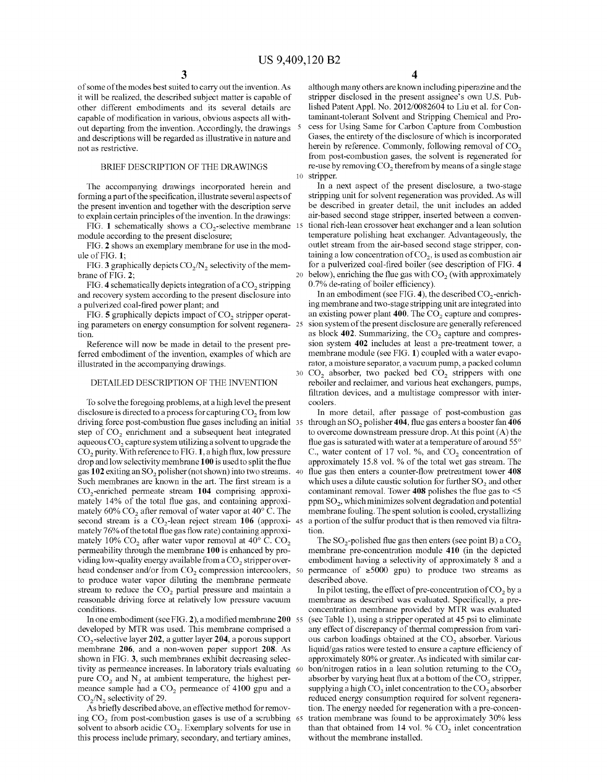of some of the modes best suited to carry out the invention. As it will be realized, the described subject matter is capable of other different embodiments and its several details are capable of modification in various, obvious aspects all without departing from the invention. Accordingly, the drawings and descriptions will be regarded as illustrative in nature and not as restrictive.

#### BRIEF DESCRIPTION OF THE DRAWINGS

The accompanying drawings incorporated herein and forming a part of the specification, illustrate several aspects of the present invention and together with the description serve to explain certain principles of the invention. In the drawings:

FIG. 1 schematically shows a  $CO<sub>2</sub>$ -selective membrane  $15$ module according to the present disclosure;

FIG. **2** shows an exemplary membrane for use in the module of FIG. **1;** 

FIG. 3 graphically depicts  $CO<sub>2</sub>/N<sub>2</sub>$  selectivity of the membrane of FIG. **2;** 

FIG. 4 schematically depicts integration of a CO<sub>2</sub> stripping and recovery system according to the present disclosure into a pulverized coal-fired power plant; and

ing parameters on energy consumption for solvent regeneration.

Reference will now be made in detail to the present preferred embodiment of the invention, examples of which are illustrated in the accompanying drawings.

#### DETAILED DESCRIPTION OF THE INVENTION

To solve the foregoing problems, at a high level the present coolers. disclosure is directed to a process for capturing  $CO<sub>2</sub>$  from low driving force post-combustion flue gases including an initial 35 step of  $CO<sub>2</sub>$  enrichment and a subsequent heat integrated aqueous  $CO<sub>2</sub>$  capture system utilizing a solvent to upgrade the  $CO<sub>2</sub>$  purity. With reference to FIG. 1, a high flux, low pressure drop and low selectivity membrane **100** is used to split the flue gas 102 exiting an SO<sub>2</sub> polisher (not shown) into two streams. 40 Such membranes are known in the art. The first stream is a C02 -enriched permeate stream **104** comprising approximately 14% of the total flue gas, and containing approximately  $60\%$  CO<sub>2</sub> after removal of water vapor at  $40^{\circ}$  C. The second stream is a CO<sub>2</sub>-lean reject stream 106 (approxi-45) mately 76% of the total flue gas flow rate) containing approximately 10%  $CO<sub>2</sub>$  after water vapor removal at 40° C.  $CO<sub>2</sub>$ permeability through the membrane **100** is enhanced by providing low-quality energy available from a  $CO<sub>2</sub>$  stripper overhead condenser and/or from  $CO<sub>2</sub>$  compression intercoolers, 50 to produce water vapor diluting the membrane permeate stream to reduce the  $CO<sub>2</sub>$  partial pressure and maintain a reasonable driving force at relatively low pressure vacuum conditions.

In one embodiment (see FIG. **2),** a modified membrane **200** 55 developed by MTR was used. This membrane comprised a C02 -selective layer **202,** a gutter layer **204,** a porous support membrane **206,** and a non-woven paper support **208.** As shown in FIG. 3, such membranes exhibit decreasing selectivity as permeance increases. In laboratory trials evaluating 60 pure  $CO<sub>2</sub>$  and N<sub>2</sub> at ambient temperature, the highest permeance sample had a CO<sub>2</sub> permeance of 4100 gpu and a  $CO<sub>2</sub>/N<sub>2</sub>$  selectivity of 29.

As briefly described above, an effective method for removing  $CO<sub>2</sub>$  from post-combustion gases is use of a scrubbing 65 solvent to absorb acidic  $CO<sub>2</sub>$ . Exemplary solvents for use in this process include primary, secondary, and tertiary amines,

**4** 

although many others are known including piperazine and the stripper disclosed in the present assignee's own U.S. Published Patent Appl. No. 2012/0082604 to Liu et al. for Contaminant-tolerant Solvent and Stripping Chemical and Process for Using Same for Carbon Capture from Combustion Gases, the entirety of the disclosure of which is incorporated herein by reference. Commonly, following removal of  $CO<sub>2</sub>$ from post-combustion gases, the solvent is regenerated for re-use by removing CO<sub>2</sub> therefrom by means of a single stage 10 stripper.

In a next aspect of the present disclosure, a two-stage stripping unit for solvent regeneration was provided. As will be described in greater detail, the unit includes an added air-based second stage stripper, inserted between a conventional rich-lean crossover heat exchanger and a lean solution temperature polishing heat exchanger. Advantageously, the outlet stream from the air-based second stage stripper, containing a low concentration of  $CO<sub>2</sub>$ , is used as combustion air for a pulverized coal-fired boiler (see description of FIG. **4**  20 below), enriching the flue gas with  $CO<sub>2</sub>$  (with approximately 0.7% de-rating of boiler efficiency).

In an embodiment (see FIG. 4), the described  $CO<sub>2</sub>$ -enriching membrane and two-stage stripping unit are integrated into FIG. **5** graphically depicts impact of  $CO_2$  stripper operat- an existing power plant 400. The  $CO_2$  capture and compression system of the present disclosure are generally referenced as block 402. Summarizing, the CO<sub>2</sub> capture and compression system **402** includes at least a pre-treatment tower, a membrane module (see FIG. **1)** coupled with a water evaporator, a moisture separator, a vacuum pump, a packed column  $30$  CO<sub>2</sub> absorber, two packed bed CO<sub>2</sub> strippers with one reboiler and reclaimer, and various heat exchangers, pumps, filtration devices, and a multistage compressor with inter-

> In more detail, after passage of post-combustion gas 35 through an so2 polisher **404,** flue gas enters a booster fan **406**  to overcome downstream pressure drop. At this point (A) the flue gas is saturated with water at a temperature of around 55° C., water content of 17 vol. %, and  $CO<sub>2</sub>$  concentration of approximately 15.8 vol. % of the total wet gas stream. The flue gas then enters a counter-flow pretreatment tower 408 which uses a dilute caustic solution for further  $SO<sub>2</sub>$  and other contaminant removal. Tower **408** polishes the flue gas to <5  $ppm SO<sub>2</sub>$ , which minimizes solvent degradation and potential membrane fouling. The spent solution is cooled, crystallizing a portion of the sulfur product that is then removed via filtration.

> The  $SO_2$ -polished flue gas then enters (see point B) a  $CO_2$ membrane pre-concentration module **410** (in the depicted embodiment having a selectivity of approximately 8 and a permeance of  $\geq 5000$  gpu) to produce two streams as described above.

> In pilot testing, the effect of pre-concentration of  $CO<sub>2</sub>$  by a membrane as described was evaluated. Specifically, a preconcentration membrane provided by MTR was evaluated (see Table 1), using a stripper operated at 45 psi to eliminate any effect of discrepancy of thermal compression from various carbon loadings obtained at the  $CO<sub>2</sub>$  absorber. Various liquid/gas ratios were tested to ensure a capture efficiency of approximately 80% or greater. As indicated with similar carbon/nitrogen ratios in a lean solution returning to the  $CO<sub>2</sub>$ absorber by varying heat flux at a bottom of the CO<sub>2</sub> stripper, supplying a high  $CO<sub>2</sub>$  inlet concentration to the  $CO<sub>2</sub>$  absorber reduced energy consumption required for solvent regeneration. The energy needed for regeneration with a pre-concentration membrane was found to be approximately 30% less than that obtained from 14 vol. %  $CO<sub>2</sub>$  inlet concentration without the membrane installed.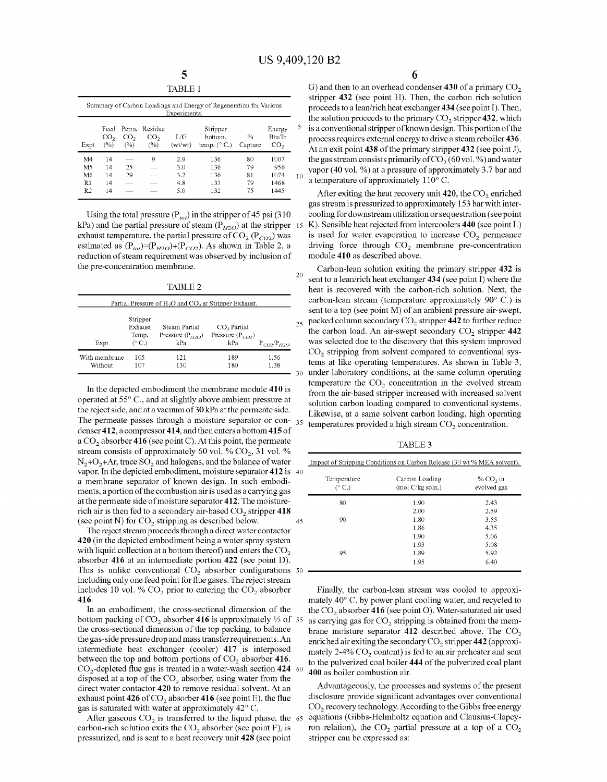10

5

20

30

|                | Summary of Carbon Loadings and Energy of Regeneration for Various<br>Experiments. |                        |                                         |                |                                              |                          |                                     |
|----------------|-----------------------------------------------------------------------------------|------------------------|-----------------------------------------|----------------|----------------------------------------------|--------------------------|-------------------------------------|
| Expt           | Feed<br>CO <sub>2</sub><br>(%)                                                    | CO <sub>2</sub><br>(%) | Perm. Residue<br>CO <sub>2</sub><br>(%) | L/G<br>(wt/wt) | Stripper<br>bottom.<br>temp. $(^{\circ}$ C.) | $\frac{0}{0}$<br>Capture | Energy<br>Bhi/Ih<br>CO <sub>2</sub> |
| M4             | 14                                                                                | $\sim$                 | 9                                       | 2.9            | 136                                          | 80                       | 1007                                |
| M <sub>5</sub> | 14                                                                                | 25                     |                                         | 30             | 136                                          | 79                       | 956                                 |
| M6             | 14                                                                                | 29                     |                                         | 3.2            | 136                                          | 81                       | 1074                                |
| R <sub>1</sub> | 14                                                                                |                        |                                         | 4.8            | 133                                          | 79                       | 1468                                |
| R2             | 14                                                                                |                        |                                         | 5.0            | 132                                          | 75                       | 1445                                |

Using the total pressure  $(P_{tot})$  in the stripper of 45 psi (310) kPa) and the partial pressure of steam ( $P_{H2O}$ ) at the stripper 15 exhaust temperature, the partial pressure of  $CO<sub>2</sub> (P<sub>CO2</sub>)$  was estimated as  $(P_{tot})=(P_{H2O})+(P_{CO2})$ . As shown in Table 2, a reduction of steam requirement was observed by inclusion of the pre-concentration membrane.

TABLE<sub>2</sub>

| Partial Pressure of $H_2O$ and $CO_2$ at Stripper Exhaust. |                                        |                                              |                                             |                 |  |  |
|------------------------------------------------------------|----------------------------------------|----------------------------------------------|---------------------------------------------|-----------------|--|--|
| Expt                                                       | Stripper<br>Exhaust<br>Temp.<br>(° C.) | Steam Partial<br>Pressure $(P_{H2O})$<br>kPa | $CO2$ Partial<br>Pressure $(P_{CD})$<br>kPa | $P_{CD}/P_{HD}$ |  |  |
| With membrane<br>Without                                   | 105<br>107                             | 121<br>130                                   | 189<br>180                                  | 1.56<br>1.38    |  |  |

In the depicted embodiment the membrane module **410** is operated at 55° C., and at slightly above ambient pressure at the reject side, and at a vacuum of 30 kPa at the permeate side. The permeate passes through a moisture separator or con- 35 denser412, a compressor414, and then enters a bottom **415** of a CO<sub>2</sub> absorber 416 (see point C). At this point, the permeate stream consists of approximately 60 vol. %  $CO<sub>2</sub>$ , 31 vol. %  $N_2+O_2+A$ r, trace  $SO_2$  and halogens, and the balance of water vapor. In the depicted embodiment, moisture separator **412** is 40 a membrane separator of known design. In such embodiments, a portion of the combustion air is used as a carrying gas at the permeate side of moisture separator **412.** The moisturerich air is then fed to a secondary air-based CO<sub>2</sub> stripper 418 (see point N) for  $CO<sub>2</sub>$  stripping as described below. 45

The reject stream proceeds through a direct water contactor **420** (in the depicted embodiment being a water spray system with liquid collection at a bottom thereof) and enters the  $CO<sub>2</sub>$ absorber **416** at an intermediate portion **422** (see point D). This is unlike conventional  $CO<sub>2</sub>$  absorber configurations  $50$ including only one feed point for flue gases. The reject stream includes 10 vol. %  $CO<sub>2</sub>$  prior to entering the  $CO<sub>2</sub>$  absorber **416.** 

In an embodiment, the cross-sectional dimension of the bottom packing of CO<sub>2</sub> absorber 416 is approximately 1/3 of 55 the cross-sectional dimension of the top packing, to balance the gas-side pressure drop and mass transfer requirements. An intermediate heat exchanger (cooler) **417** is interposed between the top and bottom portions of CO<sub>2</sub> absorber 416. C02 -depleted flue gas is treated in a water-wash section **424**  disposed at a top of the  $CO<sub>2</sub>$  absorber, using water from the direct water contactor **420** to remove residual solvent. At an exhaust point 426 of CO<sub>2</sub> absorber 416 (see point E), the flue gas is saturated with water at approximately 42° C.

After gaseous  $CO<sub>2</sub>$  is transferred to the liquid phase, the 65 carbon-rich solution exits the  $CO<sub>2</sub>$  absorber (see point F), is pressurized, and is sent to a heat recovery unit **428** (see point

G) and then to an overhead condenser 430 of a primary CO<sub>2</sub> stripper **432** (see point H). Then, the carbon rich solution proceeds to a lean/rich heat exchanger **434** (see point I). Then, the solution proceeds to the primary CO<sub>2</sub> stripper 432, which is a conventional stripper of known design. This portion of the process requires external energy to drive a steamreboiler **436.**  At an exit point **438** of the primary stripper **432** (see point J), the gas stream consists primarily of  $CO<sub>2</sub>$  (60 vol. %) and water vapor (40 vol. %) at a pressure of approximately 3.7 bar and a temperature of approximately  $110^{\circ}$  C.

After exiting the heat recovery unit 420, the CO<sub>2</sub> enriched gas stream is pressurized to approximately 153 bar with intercooling for downstream utilization or sequestration (see point 15 K). Sensible heat rejected from intercoolers **440** (see point L) is used for water evaporation to increase  $CO<sub>2</sub>$  permeance driving force through  $CO<sub>2</sub>$  membrane pre-concentration module **410** as described above.

25 Carbon-lean solution exiting the primary stripper **432** is sent to a lean/rich heat exchanger **434** (see point I) where the heat is recovered with the carbon-rich solution. Next, the carbon-lean stream (temperature approximately 90° C.) is sent to a top (see point M) of an ambient pressure air-swept, packed column secondary CO<sub>2</sub> stripper 442 to further reduce the carbon load. An air-swept secondary CO<sub>2</sub> stripper 442 was selected due to the discovery that this system improved  $CO<sub>2</sub>$  stripping from solvent compared to conventional systems at like operating temperatures. As shown in Table 3, under laboratory conditions, at the same colunm operating temperature the  $CO<sub>2</sub>$  concentration in the evolved stream from the air-based stripper increased with increased solvent solution carbon loading compared to conventional systems. Likewise, at a same solvent carbon loading, high operating temperatures provided a high stream  $CO<sub>2</sub>$  concentration.

TABLE3

| Impact of Stripping Conditions on Carbon Release (30 wt % MEA solvent). |                                    |                           |  |  |
|-------------------------------------------------------------------------|------------------------------------|---------------------------|--|--|
| Temperature<br>(° C.)                                                   | Carbon Loading<br>(mod C/kg soln.) | % $CO2$ in<br>evolved gas |  |  |
| 80                                                                      | 1.90                               | 2.43                      |  |  |
|                                                                         | 2.00                               | 2.59                      |  |  |
| 90                                                                      | 1.80                               | 3.55                      |  |  |
|                                                                         | 1.86                               | 4.35                      |  |  |
|                                                                         | 1.90                               | 5.06                      |  |  |
|                                                                         | 1.93                               | 5.08                      |  |  |
| 95                                                                      | 1.89                               | 5.92                      |  |  |
|                                                                         | 1.95                               | 6.40                      |  |  |

Finally, the carbon-lean stream was cooled to approximately 40° C. by power plant cooling water, and recycled to the C02 absorber **416** (see point 0). Water-saturated air used as carrying gas for  $CO<sub>2</sub>$  stripping is obtained from the membrane moisture separator 412 described above. The CO<sub>2</sub> enriched air exiting the secondary CO<sub>2</sub> stripper 442 (approximately  $2-4\%$  CO<sub>2</sub> content) is fed to an air preheater and sent to the pulverized coal boiler 444 of the pulverized coal plant 400 as boiler combustion air.

Advantageously, the processes and systems of the present disclosure provide significant advantages over conventional  $CO<sub>2</sub>$  recovery technology. According to the Gibbs free energy equations (Gibbs-Helmholtz equation and Clausius-Clapeyron relation), the  $CO<sub>2</sub>$  partial pressure at a top of a  $CO<sub>2</sub>$ stripper can be expressed as: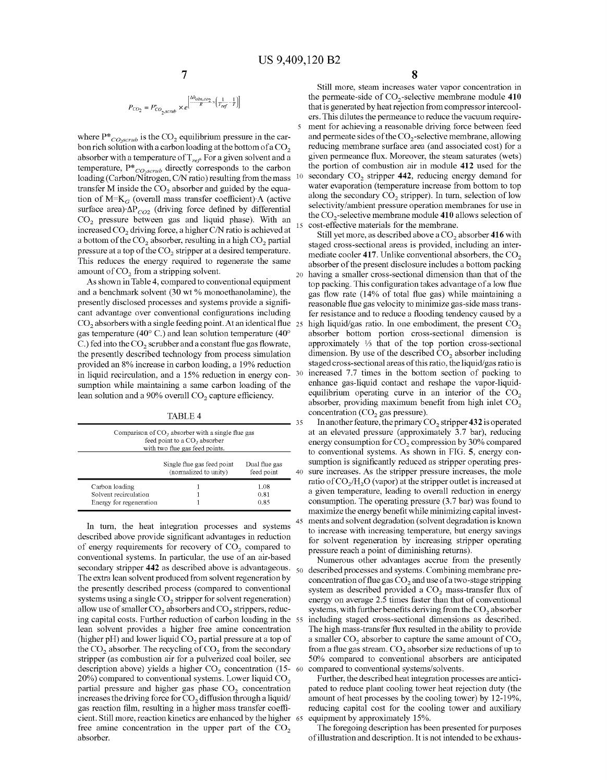$$
P_{CO_2} = P^*_{CO_{2},scrub} \times e^{\left[\frac{\Delta h_{abs,co_2}}{R} \times \left(\frac{1}{T_{ref}} - \frac{1}{T}\right)\right]}
$$

where  $P^*_{\text{Co}}$ <sub>scrub</sub> is the CO<sub>2</sub> equilibrium pressure in the carbon rich solution with a carbon loading at the bottom of a  $CO<sub>2</sub>$ absorber with a temperature of  $\mathrm{T}_{\mathit{ref}}$  <sup>For</sup> a given solvent and a temperature, P\* *co,scrub* directly corresponds to the carbon loading (Carbon/Nitrogen, C/N ratio) resulting from the mass transfer M inside the  $CO<sub>2</sub>$  absorber and guided by the equation of  $M=K_G$  (overall mass transfer coefficient) A (active surface area)  $\Delta P_{CO2}$  (driving force defined by differential  $CO<sub>2</sub>$  pressure between gas and liquid phase). With an increased CO<sub>2</sub> driving force, a higher C/N ratio is achieved at a bottom of the  $CO<sub>2</sub>$  absorber, resulting in a high  $CO<sub>2</sub>$  partial pressure at a top of the  $CO<sub>2</sub>$  stripper at a desired temperature. This reduces the energy required to regenerate the same amount of  $CO<sub>2</sub>$  from a stripping solvent.

As shown in Table 4, compared to conventional equipment and a benchmark solvent (30 wt % monoethanolamine ), the presently disclosed processes and systems provide a significant advantage over conventional configurations including  $CO<sub>2</sub>$  absorbers with a single feeding point. At an identical flue  $25$ gas temperature (40° C.) and lean solution temperature (40° C.) fed into the  $CO<sub>2</sub>$  scrubber and a constant flue gas flowrate, the presently described technology from process simulation provided an 8% increase in carbon loading, a 19% reduction in liquid recirculation, and a 15% reduction in energy consumption while maintaining a same carbon loading of the lean solution and a 90% overall  $CO<sub>2</sub>$  capture efficiency.

TABLE4

| Comparison of $CO2$ absorber with a single flue gas<br>feed point to a CO <sub>2</sub> absorber<br>with two flue gas feed points. |                                                     |                             |  |  |  |
|-----------------------------------------------------------------------------------------------------------------------------------|-----------------------------------------------------|-----------------------------|--|--|--|
|                                                                                                                                   | Single flue gas feed point<br>(normalized to unity) | Dual flue gas<br>feed point |  |  |  |
| Carbon loading                                                                                                                    |                                                     | 1.08                        |  |  |  |
| Solvent recirculation                                                                                                             |                                                     | 0.81                        |  |  |  |
| Energy for regeneration                                                                                                           |                                                     | 0.85                        |  |  |  |

In tum, the heat integration processes and systems described above provide significant advantages in reduction of energy requirements for recovery of  $CO<sub>2</sub>$  compared to conventional systems. In particular, the use of an air-based secondary stripper **442** as described above is advantageous. The extra lean solvent produced from solvent regeneration by the presently described process (compared to conventional systems using a single  $CO<sub>2</sub>$  stripper for solvent regeneration) allow use of smaller  $CO<sub>2</sub>$  absorbers and  $CO<sub>2</sub>$  strippers, reducing capital costs. Further reduction of carbon loading in the lean solvent provides a higher free amine concentration (higher  $pH$ ) and lower liquid  $CO<sub>2</sub>$  partial pressure at a top of the  $CO<sub>2</sub>$  absorber. The recycling of  $CO<sub>2</sub>$  from the secondary stripper (as combustion air for a pulverized coal boiler, see description above) yields a higher  $CO<sub>2</sub>$  concentration (15-60)  $20\%$ ) compared to conventional systems. Lower liquid CO<sub>2</sub> partial pressure and higher gas phase  $CO<sub>2</sub>$  concentration increases the driving force for  $CO<sub>2</sub>$  diffusion through a liquid/ gas reaction film, resulting in a higher mass transfer coefficient. Still more, reaction kinetics are enhanced by the higher free amine concentration in the upper part of the  $CO<sub>2</sub>$ absorber.

Still more, steam increases water vapor concentration in the permeate-side of CO<sub>2</sub>-selective membrane module 410 that is generated by heat rejection from compressor intercoolers. This dilutes the permeance to reduce the vacuum requirement for achieving a reasonable driving force between feed and permeate sides of the CO<sub>2</sub>-selective membrane, allowing reducing membrane surface area (and associated cost) for a given permeance flux. Moreover, the steam saturates (wets) the portion of combustion air in module **412** used for the secondary CO<sub>2</sub> stripper 442, reducing energy demand for water evaporation (temperature increase from bottom to top along the secondary  $CO<sub>2</sub>$  stripper). In turn, selection of low selectivity/ambient pressure operation membranes for use in the C02 -selective membrane module **410** allows selection of cost-effective materials for the membrane.

Still yet more, as described above a CO<sub>2</sub> absorber 416 with staged cross-sectional areas is provided, including an intermediate cooler 417. Unlike conventional absorbers, the  $CO<sub>2</sub>$ absorber of the present disclosure includes a bottom packing 20 having a smaller cross-sectional dimension than that of the top packing. This configuration takes advantage of a low flue gas flow rate (14% of total flue gas) while maintaining a reasonable flue gas velocity to minimize gas-side mass transfer resistance and to reduce a flooding tendency caused by a high liquid/gas ratio. In one embodiment, the present  $CO<sub>2</sub>$ absorber bottom portion cross-sectional dimension is approximately  $\frac{1}{3}$  that of the top portion cross-sectional dimension. By use of the described  $CO<sub>2</sub>$  absorber including staged cross-sectional areas of this ratio, the liquid/gas ratio is increased 7.7 times in the bottom section of packing to enhance gas-liquid contact and reshape the vapor-liquidequilibrium operating curve in an interior of the  $CO<sub>2</sub>$ absorber, providing maximum benefit from high inlet  $CO<sub>2</sub>$ concentration  $(CO<sub>2</sub>$  gas pressure).

35 In another feature, the primary CO<sub>2</sub> stripper 432 is operated at an elevated pressure (approximately 3.7 bar), reducing energy consumption for  $CO<sub>2</sub>$  compression by 30% compared to conventional systems. As shown in FIG. 5, energy consumption is significantly reduced as stripper operating pres-40 sure increases. As the stripper pressure increases, the mole ratio of  $CO<sub>2</sub>/H<sub>2</sub>O$  (vapor) at the stripper outlet is increased at a given temperature, leading to overall reduction in energy consumption. The operating pressure (3.7 bar) was found to maximize the energy benefit while minimizing capital investments and solvent degradation (solvent degradation is known to increase with increasing temperature, but energy savings for solvent regeneration by increasing stripper operating pressure reach a point of diminishing returns).

Numerous other advantages accrue from the presently described processes and systems. Combining membrane preconcentration of flue gas  $CO<sub>2</sub>$  and use of a two-stage stripping system as described provided a CO<sub>2</sub> mass-transfer flux of energy on average 2.5 times faster than that of conventional systems, with further benefits deriving from the  $CO<sub>2</sub>$  absorber including staged cross-sectional dimensions as described. The high mass-transfer flux resulted in the ability to provide a smaller  $CO<sub>2</sub>$  absorber to capture the same amount of  $CO<sub>2</sub>$ from a flue gas stream.  $CO<sub>2</sub>$  absorber size reductions of up to 50% compared to conventional absorbers are anticipated compared to conventional systems/solvents.

Further, the described heat integration processes are anticipated to reduce plant cooling tower heat rejection duty (the amount of heat processes by the cooling tower) by 12-19%, reducing capital cost for the cooling tower and auxiliary equipment by approximately 15%.

The foregoing description has been presented for purposes of illustration and description. It is not intended to be exhaus